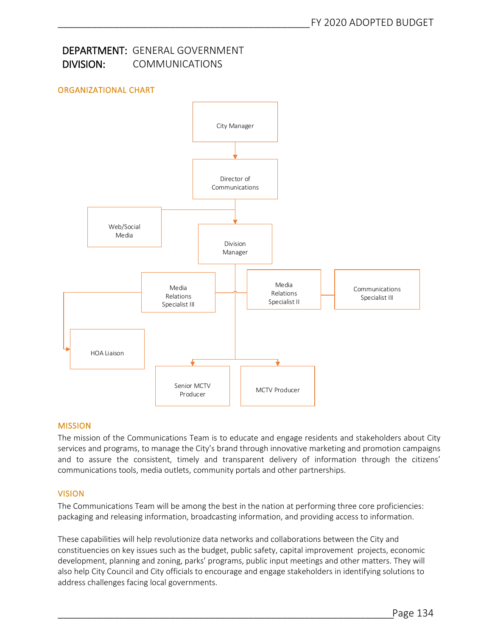# DEPARTMENT: GENERAL GOVERNMENT DIVISION: COMMUNICATIONS

# ORGANIZATIONAL CHART



## MISSION

The mission of the Communications Team is to educate and engage residents and stakeholders about City services and programs, to manage the City's brand through innovative marketing and promotion campaigns and to assure the consistent, timely and transparent delivery of information through the citizens' communications tools, media outlets, community portals and other partnerships.

#### VISION

The Communications Team will be among the best in the nation at performing three core proficiencies: packaging and releasing information, broadcasting information, and providing access to information.

These capabilities will help revolutionize data networks and collaborations between the City and constituencies on key issues such as the budget, public safety, capital improvement projects, economic development, planning and zoning, parks' programs, public input meetings and other matters. They will also help City Council and City officials to encourage and engage stakeholders in identifying solutions to address challenges facing local governments.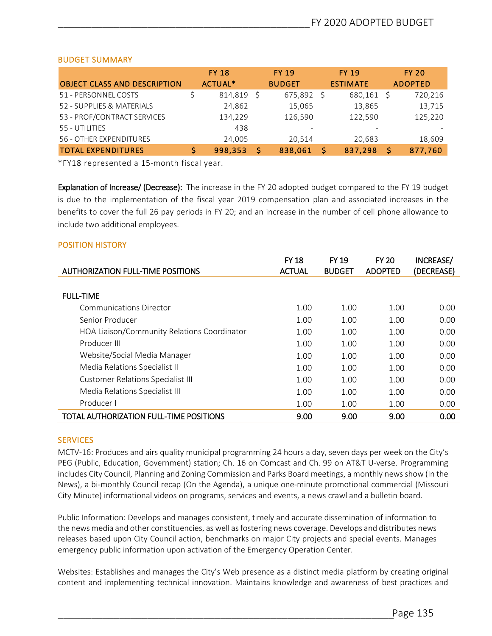### BUDGET SUMMARY

|                                     | <b>FY 18</b> | <b>FY 19</b> |                          |  | <b>FY 19</b>    |  | <b>FY 20</b>   |
|-------------------------------------|--------------|--------------|--------------------------|--|-----------------|--|----------------|
| <b>OBJECT CLASS AND DESCRIPTION</b> | ACTUAL*      |              | <b>BUDGET</b>            |  | <b>ESTIMATE</b> |  | <b>ADOPTED</b> |
| 51 - PERSONNEL COSTS                | 814,819      |              | $675,892$ \$             |  | 680,161         |  | 720,216        |
| 52 - SUPPLIES & MATERIALS           | 24,862       |              | 15,065                   |  | 13,865          |  | 13,715         |
| 53 - PROF/CONTRACT SERVICES         | 134,229      |              | 126,590                  |  | 122,590         |  | 125,220        |
| 55 - UTILITIES                      | 438          |              | $\overline{\phantom{0}}$ |  |                 |  |                |
| 56 - OTHER EXPENDITURES             | 24.005       |              | 20.514                   |  | 20.683          |  | 18,609         |
| <b>TOTAL EXPENDITURES</b>           | 998,353      |              | 838,061                  |  | 837,298         |  | 877,760        |

\*FY18 represented a 15-month fiscal year.

Explanation of Increase/ (Decrease): The increase in the FY 20 adopted budget compared to the FY 19 budget is due to the implementation of the fiscal year 2019 compensation plan and associated increases in the benefits to cover the full 26 pay periods in FY 20; and an increase in the number of cell phone allowance to include two additional employees.

#### POSITION HISTORY

|                                                | <b>FY 18</b>  | <b>FY 19</b>  | <b>FY 20</b>   | INCREASE/  |
|------------------------------------------------|---------------|---------------|----------------|------------|
| <b>AUTHORIZATION FULL-TIME POSITIONS</b>       | <b>ACTUAL</b> | <b>BUDGET</b> | <b>ADOPTED</b> | (DECREASE) |
|                                                |               |               |                |            |
| <b>FULL-TIME</b>                               |               |               |                |            |
| <b>Communications Director</b>                 | 1.00          | 1.00          | 1.00           | 0.00       |
| Senior Producer                                | 1.00          | 1.00          | 1.00           | 0.00       |
| HOA Liaison/Community Relations Coordinator    | 1.00          | 1.00          | 1.00           | 0.00       |
| Producer III                                   | 1.00          | 1.00          | 1.00           | 0.00       |
| Website/Social Media Manager                   | 1.00          | 1.00          | 1.00           | 0.00       |
| Media Relations Specialist II                  | 1.00          | 1.00          | 1.00           | 0.00       |
| Customer Relations Specialist III              | 1.00          | 1.00          | 1.00           | 0.00       |
| Media Relations Specialist III                 | 1.00          | 1.00          | 1.00           | 0.00       |
| Producer I                                     | 1.00          | 1.00          | 1.00           | 0.00       |
| <b>TOTAL AUTHORIZATION FULL-TIME POSITIONS</b> | 9.00          | 9.00          | 9.00           | 0.00       |

#### **SERVICES**

MCTV-16: Produces and airs quality municipal programming 24 hours a day, seven days per week on the City's PEG (Public, Education, Government) station; Ch. 16 on Comcast and Ch. 99 on AT&T U-verse. Programming includes City Council, Planning and Zoning Commission and Parks Board meetings, a monthly news show (In the News), a bi-monthly Council recap (On the Agenda), a unique one-minute promotional commercial (Missouri City Minute) informational videos on programs, services and events, a news crawl and a bulletin board.

Public Information: Develops and manages consistent, timely and accurate dissemination of information to the news media and other constituencies, as well as fostering news coverage. Develops and distributes news releases based upon City Council action, benchmarks on major City projects and special events. Manages emergency public information upon activation of the Emergency Operation Center.

Websites: Establishes and manages the City's Web presence as a distinct media platform by creating original content and implementing technical innovation. Maintains knowledge and awareness of best practices and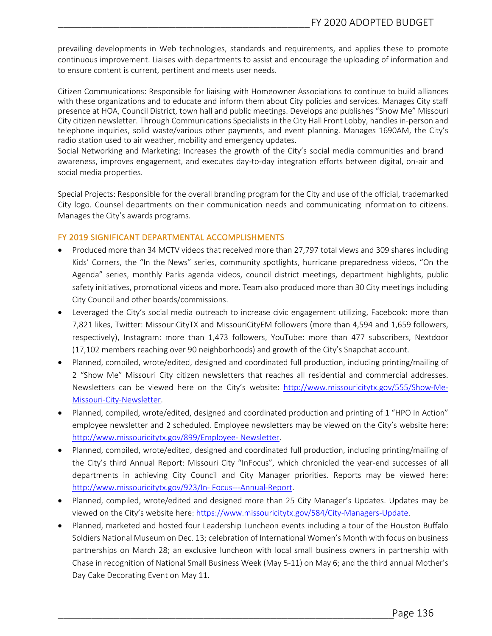prevailing developments in Web technologies, standards and requirements, and applies these to promote continuous improvement. Liaises with departments to assist and encourage the uploading of information and to ensure content is current, pertinent and meets user needs.

Citizen Communications: Responsible for liaising with Homeowner Associations to continue to build alliances with these organizations and to educate and inform them about City policies and services. Manages City staff presence at HOA, Council District, town hall and public meetings. Develops and publishes "Show Me" Missouri City citizen newsletter. Through Communications Specialists in the City Hall Front Lobby, handles in-person and telephone inquiries, solid waste/various other payments, and event planning. Manages 1690AM, the City's radio station used to air weather, mobility and emergency updates.

Social Networking and Marketing: Increases the growth of the City's social media communities and brand awareness, improves engagement, and executes day-to-day integration efforts between digital, on-air and social media properties.

Special Projects: Responsible for the overall branding program for the City and use of the official, trademarked City logo. Counsel departments on their communication needs and communicating information to citizens. Manages the City's awards programs.

#### FY 2019 SIGNIFICANT DEPARTMENTAL ACCOMPLISHMENTS

- Produced more than 34 MCTV videos that received more than 27,797 total views and 309 shares including Kids' Corners, the "In the News" series, community spotlights, hurricane preparedness videos, "On the Agenda" series, monthly Parks agenda videos, council district meetings, department highlights, public safety initiatives, promotional videos and more. Team also produced more than 30 City meetings including City Council and other boards/commissions.
- Leveraged the City's social media outreach to increase civic engagement utilizing, Facebook: more than 7,821 likes, Twitter: MissouriCityTX and MissouriCityEM followers (more than 4,594 and 1,659 followers, respectively), Instagram: more than 1,473 followers, YouTube: more than 477 subscribers, Nextdoor (17,102 members reaching over 90 neighborhoods) and growth of the City's Snapchat account.
- Planned, compiled, wrote/edited, designed and coordinated full production, including printing/mailing of 2 "Show Me" Missouri City citizen newsletters that reaches all residential and commercial addresses. Newsletters can be viewed here on the City's website: http://www.missouricitytx.gov/555/Show-Me-Missouri-City-Newsletter.
- Planned, compiled, wrote/edited, designed and coordinated production and printing of 1 "HPO In Action" employee newsletter and 2 scheduled. Employee newsletters may be viewed on the City's website here: http://www.missouricitytx.gov/899/Employee- Newsletter.
- Planned, compiled, wrote/edited, designed and coordinated full production, including printing/mailing of the City's third Annual Report: Missouri City "InFocus", which chronicled the year-end successes of all departments in achieving City Council and City Manager priorities. Reports may be viewed here: http://www.missouricitytx.gov/923/In- Focus---Annual-Report.
- Planned, compiled, wrote/edited and designed more than 25 City Manager's Updates. Updates may be viewed on the City's website here: https://www.missouricitytx.gov/584/City-Managers-Update.
- Planned, marketed and hosted four Leadership Luncheon events including a tour of the Houston Buffalo Soldiers National Museum on Dec. 13; celebration of International Women's Month with focus on business partnerships on March 28; an exclusive luncheon with local small business owners in partnership with Chase in recognition of National Small Business Week (May 5-11) on May 6; and the third annual Mother's Day Cake Decorating Event on May 11.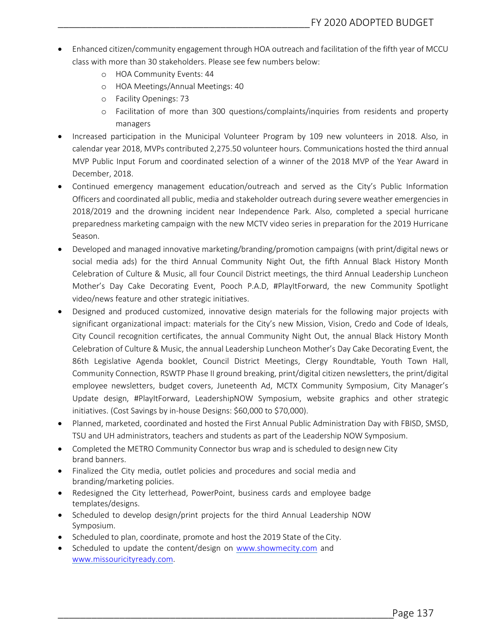- Enhanced citizen/community engagement through HOA outreach and facilitation of the fifth year of MCCU class with more than 30 stakeholders. Please see few numbers below:
	- o HOA Community Events: 44
	- o HOA Meetings/Annual Meetings: 40
	- o Facility Openings: 73
	- o Facilitation of more than 300 questions/complaints/inquiries from residents and property managers
- Increased participation in the Municipal Volunteer Program by 109 new volunteers in 2018. Also, in calendar year 2018, MVPs contributed 2,275.50 volunteer hours. Communications hosted the third annual MVP Public Input Forum and coordinated selection of a winner of the 2018 MVP of the Year Award in December, 2018.
- Continued emergency management education/outreach and served as the City's Public Information Officers and coordinated all public, media and stakeholder outreach during severe weather emergencies in 2018/2019 and the drowning incident near Independence Park. Also, completed a special hurricane preparedness marketing campaign with the new MCTV video series in preparation for the 2019 Hurricane Season.
- Developed and managed innovative marketing/branding/promotion campaigns (with print/digital news or social media ads) for the third Annual Community Night Out, the fifth Annual Black History Month Celebration of Culture & Music, all four Council District meetings, the third Annual Leadership Luncheon Mother's Day Cake Decorating Event, Pooch P.A.D, #PlayItForward, the new Community Spotlight video/news feature and other strategic initiatives.
- Designed and produced customized, innovative design materials for the following major projects with significant organizational impact: materials for the City's new Mission, Vision, Credo and Code of Ideals, City Council recognition certificates, the annual Community Night Out, the annual Black History Month Celebration of Culture & Music, the annual Leadership Luncheon Mother's Day Cake Decorating Event, the 86th Legislative Agenda booklet, Council District Meetings, Clergy Roundtable, Youth Town Hall, Community Connection, RSWTP Phase II ground breaking, print/digital citizen newsletters, the print/digital employee newsletters, budget covers, Juneteenth Ad, MCTX Community Symposium, City Manager's Update design, #PlayItForward, LeadershipNOW Symposium, website graphics and other strategic initiatives. (Cost Savings by in-house Designs: \$60,000 to \$70,000).
- Planned, marketed, coordinated and hosted the First Annual Public Administration Day with FBISD, SMSD, TSU and UH administrators, teachers and students as part of the Leadership NOW Symposium.
- Completed the METRO Community Connector bus wrap and is scheduled to design new City brand banners.
- Finalized the City media, outlet policies and procedures and social media and branding/marketing policies.
- Redesigned the City letterhead, PowerPoint, business cards and employee badge templates/designs.
- Scheduled to develop design/print projects for the third Annual Leadership NOW Symposium.
- Scheduled to plan, coordinate, promote and host the 2019 State of the City.
- Scheduled to update the content/design on www.showmecity.com and www.missouricityready.com.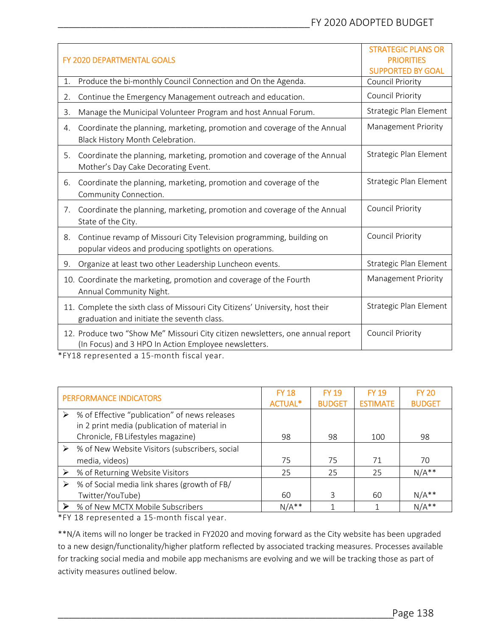| <b>FY 2020 DEPARTMENTAL GOALS</b>                                                                                                      | <b>STRATEGIC PLANS OR</b><br><b>PRIORITIES</b><br><b>SUPPORTED BY GOAL</b> |
|----------------------------------------------------------------------------------------------------------------------------------------|----------------------------------------------------------------------------|
| Produce the bi-monthly Council Connection and On the Agenda.<br>1.                                                                     | Council Priority                                                           |
| Continue the Emergency Management outreach and education.<br>2.                                                                        | <b>Council Priority</b>                                                    |
| Manage the Municipal Volunteer Program and host Annual Forum.<br>3.                                                                    | Strategic Plan Element                                                     |
| Coordinate the planning, marketing, promotion and coverage of the Annual<br>4.<br>Black History Month Celebration.                     | Management Priority                                                        |
| Coordinate the planning, marketing, promotion and coverage of the Annual<br>5 <sub>1</sub><br>Mother's Day Cake Decorating Event.      | Strategic Plan Element                                                     |
| Coordinate the planning, marketing, promotion and coverage of the<br>6.<br>Community Connection.                                       | Strategic Plan Element                                                     |
| Coordinate the planning, marketing, promotion and coverage of the Annual<br>7.<br>State of the City.                                   | <b>Council Priority</b>                                                    |
| Continue revamp of Missouri City Television programming, building on<br>8.<br>popular videos and producing spotlights on operations.   | Council Priority                                                           |
| Organize at least two other Leadership Luncheon events.<br>9.                                                                          | Strategic Plan Element                                                     |
| 10. Coordinate the marketing, promotion and coverage of the Fourth<br>Annual Community Night.                                          | Management Priority                                                        |
| 11. Complete the sixth class of Missouri City Citizens' University, host their<br>graduation and initiate the seventh class.           | Strategic Plan Element                                                     |
| 12. Produce two "Show Me" Missouri City citizen newsletters, one annual report<br>(In Focus) and 3 HPO In Action Employee newsletters. | Council Priority                                                           |

\*FY18 represented a 15-month fiscal year.

| PERFORMANCE INDICATORS |                                                | <b>FY 18</b>   | <b>FY 19</b>  | <b>FY 19</b>    | <b>FY 20</b>  |
|------------------------|------------------------------------------------|----------------|---------------|-----------------|---------------|
|                        |                                                | <b>ACTUAL*</b> | <b>BUDGET</b> | <b>ESTIMATE</b> | <b>BUDGET</b> |
|                        | % of Effective "publication" of news releases  |                |               |                 |               |
|                        | in 2 print media (publication of material in   |                |               |                 |               |
|                        | Chronicle, FB Lifestyles magazine)             | 98             | 98            | 100             | 98            |
|                        | % of New Website Visitors (subscribers, social |                |               |                 |               |
|                        | media, videos)                                 | 75             | 75            | 71              | 70            |
|                        | % of Returning Website Visitors                | 25             | 25            | 25              | $N/A**$       |
|                        | % of Social media link shares (growth of FB/   |                |               |                 |               |
|                        | Twitter/YouTube)                               | 60             | 3             | 60              | $N/A**$       |
|                        | ▶ % of New MCTX Mobile Subscribers             | $N/A**$        |               |                 | $N/A**$       |

\*FY 18 represented a 15-month fiscal year.

\*\*N/A items will no longer be tracked in FY2020 and moving forward as the City website has been upgraded to a new design/functionality/higher platform reflected by associated tracking measures. Processes available for tracking social media and mobile app mechanisms are evolving and we will be tracking those as part of activity measures outlined below.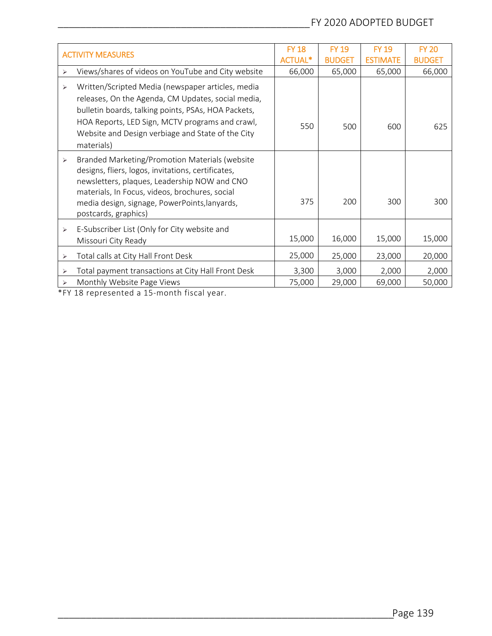| <b>ACTIVITY MEASURES</b> |                                                                                                                                                                                                                                                                                      | <b>FY 18</b>   | <b>FY 19</b>  | <b>FY 19</b>    | <b>FY 20</b>  |
|--------------------------|--------------------------------------------------------------------------------------------------------------------------------------------------------------------------------------------------------------------------------------------------------------------------------------|----------------|---------------|-----------------|---------------|
|                          |                                                                                                                                                                                                                                                                                      | <b>ACTUAL*</b> | <b>BUDGET</b> | <b>ESTIMATE</b> | <b>BUDGET</b> |
| ⋗                        | Views/shares of videos on YouTube and City website                                                                                                                                                                                                                                   | 66,000         | 65,000        | 65,000          | 66,000        |
| ⋗                        | Written/Scripted Media (newspaper articles, media<br>releases, On the Agenda, CM Updates, social media,<br>bulletin boards, talking points, PSAs, HOA Packets,<br>HOA Reports, LED Sign, MCTV programs and crawl,<br>Website and Design verbiage and State of the City<br>materials) | 550            | 500           | 600             | 625           |
| ⋗                        | Branded Marketing/Promotion Materials (website<br>designs, fliers, logos, invitations, certificates,<br>newsletters, plaques, Leadership NOW and CNO<br>materials, In Focus, videos, brochures, social<br>media design, signage, PowerPoints, lanyards,<br>postcards, graphics)      | 375            | 200           | 300             | 300           |
| ⋗                        | E-Subscriber List (Only for City website and<br>Missouri City Ready                                                                                                                                                                                                                  | 15,000         | 16,000        | 15,000          | 15,000        |
| ⋗                        | Total calls at City Hall Front Desk                                                                                                                                                                                                                                                  | 25,000         | 25,000        | 23,000          | 20,000        |
| ⋗                        | Total payment transactions at City Hall Front Desk                                                                                                                                                                                                                                   | 3,300          | 3,000         | 2,000           | 2,000         |
| ⋗                        | Monthly Website Page Views                                                                                                                                                                                                                                                           | 75,000         | 29,000        | 69,000          | 50,000        |

\*FY 18 represented a 15-month fiscal year.